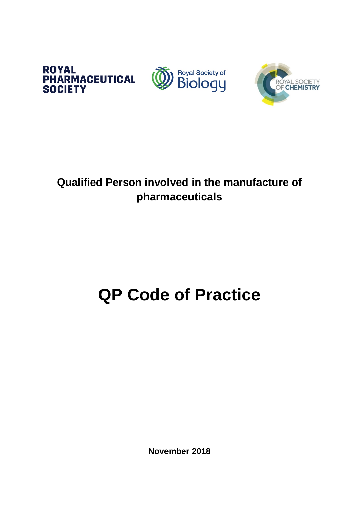





# **Qualified Person involved in the manufacture of pharmaceuticals**

# **QP Code of Practice**

**November 2018**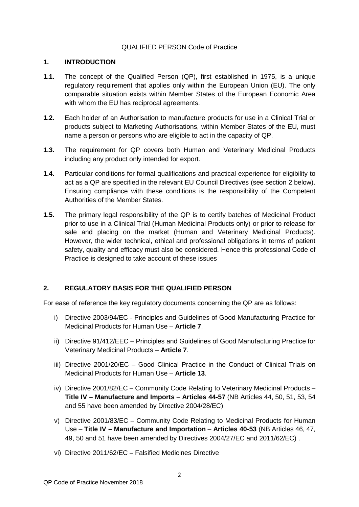#### QUALIFIED PERSON Code of Practice

#### **1. INTRODUCTION**

- **1.1.** The concept of the Qualified Person (QP), first established in 1975, is a unique regulatory requirement that applies only within the European Union (EU). The only comparable situation exists within Member States of the European Economic Area with whom the EU has reciprocal agreements.
- **1.2.** Each holder of an Authorisation to manufacture products for use in a Clinical Trial or products subject to Marketing Authorisations, within Member States of the EU, must name a person or persons who are eligible to act in the capacity of QP.
- **1.3.** The requirement for QP covers both Human and Veterinary Medicinal Products including any product only intended for export.
- **1.4.** Particular conditions for formal qualifications and practical experience for eligibility to act as a QP are specified in the relevant EU Council Directives (see section 2 below). Ensuring compliance with these conditions is the responsibility of the Competent Authorities of the Member States.
- **1.5.** The primary legal responsibility of the QP is to certify batches of Medicinal Product prior to use in a Clinical Trial (Human Medicinal Products only) or prior to release for sale and placing on the market (Human and Veterinary Medicinal Products). However, the wider technical, ethical and professional obligations in terms of patient safety, quality and efficacy must also be considered. Hence this professional Code of Practice is designed to take account of these issues

# **2. REGULATORY BASIS FOR THE QUALIFIED PERSON**

For ease of reference the key regulatory documents concerning the QP are as follows:

- i) Directive 2003/94/EC Principles and Guidelines of Good Manufacturing Practice for Medicinal Products for Human Use – **Article 7**.
- ii) Directive 91/412/EEC Principles and Guidelines of Good Manufacturing Practice for Veterinary Medicinal Products – **Article 7**.
- iii) Directive 2001/20/EC Good Clinical Practice in the Conduct of Clinical Trials on Medicinal Products for Human Use – **Article 13**.
- iv) Directive 2001/82/EC Community Code Relating to Veterinary Medicinal Products **Title IV – Manufacture and Imports** – **Articles 44-57** (NB Articles 44, 50, 51, 53, 54 and 55 have been amended by Directive 2004/28/EC)
- v) Directive 2001/83/EC Community Code Relating to Medicinal Products for Human Use – **Title IV – Manufacture and Importation** – **Articles 40-53** (NB Articles 46, 47, 49, 50 and 51 have been amended by Directives 2004/27/EC and 2011/62/EC) .
- vi) Directive 2011/62/EC Falsified Medicines Directive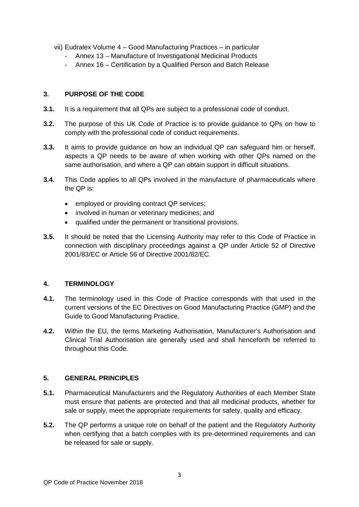- vii) Eudralex Volume 4 Good Manufacturing Practices in particular
	- Annex 13 Manufacture of Investigational Medicinal Products
	- Annex 16 Certification by a Qualified Person and Batch Release

#### **3. PURPOSE OF THE CODE**

- **3.1.** It is a requirement that all QPs are subject to a professional code of conduct.
- **3.2.** The purpose of this UK Code of Practice is to provide guidance to QPs on how to comply with the professional code of conduct requirements.
- **3.3.** It aims to provide guidance on how an individual QP can safeguard him or herself, aspects a QP needs to be aware of when working with other QPs named on the same authorisation, and where a QP can obtain support in difficult situations.
- **3.4.** This Code applies to all QPs involved in the manufacture of pharmaceuticals where the QP is:
	- employed or providing contract QP services;
	- involved in human or veterinary medicines; and
	- qualified under the permanent or transitional provisions.
- **3.5.** It should be noted that the Licensing Authority may refer to this Code of Practice in connection with disciplinary proceedings against a QP under Article 52 of Directive 2001/83/EC or Article 56 of Directive 2001/82/EC.

# **4. TERMINOLOGY**

- **4.1.** The terminology used in this Code of Practice corresponds with that used in the current versions of the EC Directives on Good Manufacturing Practice (GMP) and the Guide to Good Manufacturing Practice.
- **4.2.** Within the EU, the terms Marketing Authorisation, Manufacturer's Authorisation and Clinical Trial Authorisation are generally used and shall henceforth be referred to throughout this Code.

#### **5. GENERAL PRINCIPLES**

- **5.1.** Pharmaceutical Manufacturers and the Regulatory Authorities of each Member State must ensure that patients are protected and that all medicinal products, whether for sale or supply, meet the appropriate requirements for safety, quality and efficacy.
- **5.2.** The QP performs a unique role on behalf of the patient and the Regulatory Authority when certifying that a batch complies with its pre-determined requirements and can be released for sale or supply.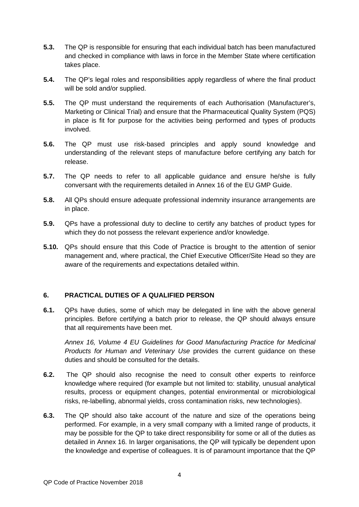- **5.3.** The QP is responsible for ensuring that each individual batch has been manufactured and checked in compliance with laws in force in the Member State where certification takes place.
- **5.4.** The QP's legal roles and responsibilities apply regardless of where the final product will be sold and/or supplied.
- **5.5.** The QP must understand the requirements of each Authorisation (Manufacturer's, Marketing or Clinical Trial) and ensure that the Pharmaceutical Quality System (PQS) in place is fit for purpose for the activities being performed and types of products involved.
- **5.6.** The QP must use risk-based principles and apply sound knowledge and understanding of the relevant steps of manufacture before certifying any batch for release.
- **5.7.** The QP needs to refer to all applicable guidance and ensure he/she is fully conversant with the requirements detailed in Annex 16 of the EU GMP Guide.
- **5.8.** All QPs should ensure adequate professional indemnity insurance arrangements are in place.
- **5.9.** QPs have a professional duty to decline to certify any batches of product types for which they do not possess the relevant experience and/or knowledge.
- **5.10.** QPs should ensure that this Code of Practice is brought to the attention of senior management and, where practical, the Chief Executive Officer/Site Head so they are aware of the requirements and expectations detailed within.

# **6. PRACTICAL DUTIES OF A QUALIFIED PERSON**

**6.1.** QPs have duties, some of which may be delegated in line with the above general principles. Before certifying a batch prior to release, the QP should always ensure that all requirements have been met.

*Annex 16, Volume 4 EU Guidelines for Good Manufacturing Practice for Medicinal Products for Human and Veterinary Use* provides the current guidance on these duties and should be consulted for the details.

- **6.2.** The QP should also recognise the need to consult other experts to reinforce knowledge where required (for example but not limited to: stability, unusual analytical results, process or equipment changes, potential environmental or microbiological risks, re-labelling, abnormal yields, cross contamination risks, new technologies).
- **6.3.** The QP should also take account of the nature and size of the operations being performed. For example, in a very small company with a limited range of products, it may be possible for the QP to take direct responsibility for some or all of the duties as detailed in Annex 16. In larger organisations, the QP will typically be dependent upon the knowledge and expertise of colleagues. It is of paramount importance that the QP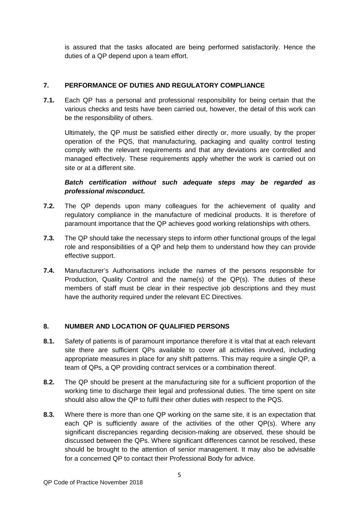is assured that the tasks allocated are being performed satisfactorily. Hence the duties of a QP depend upon a team effort.

# **7. PERFORMANCE OF DUTIES AND REGULATORY COMPLIANCE**

**7.1.** Each QP has a personal and professional responsibility for being certain that the various checks and tests have been carried out, however, the detail of this work can be the responsibility of others.

Ultimately, the QP must be satisfied either directly or, more usually, by the proper operation of the PQS, that manufacturing, packaging and quality control testing comply with the relevant requirements and that any deviations are controlled and managed effectively. These requirements apply whether the work is carried out on site or at a different site.

# *Batch certification without such adequate steps may be regarded as professional misconduct.*

- **7.2.** The QP depends upon many colleagues for the achievement of quality and regulatory compliance in the manufacture of medicinal products. It is therefore of paramount importance that the QP achieves good working relationships with others.
- **7.3.** The QP should take the necessary steps to inform other functional groups of the legal role and responsibilities of a QP and help them to understand how they can provide effective support.
- **7.4.** Manufacturer's Authorisations include the names of the persons responsible for Production, Quality Control and the name(s) of the QP(s). The duties of these members of staff must be clear in their respective job descriptions and they must have the authority required under the relevant EC Directives.

# **8. NUMBER AND LOCATION OF QUALIFIED PERSONS**

- **8.1.** Safety of patients is of paramount importance therefore it is vital that at each relevant site there are sufficient QPs available to cover all activities involved, including appropriate measures in place for any shift patterns. This may require a single QP, a team of QPs, a QP providing contract services or a combination thereof.
- **8.2.** The QP should be present at the manufacturing site for a sufficient proportion of the working time to discharge their legal and professional duties. The time spent on site should also allow the QP to fulfil their other duties with respect to the PQS.
- **8.3.** Where there is more than one QP working on the same site, it is an expectation that each QP is sufficiently aware of the activities of the other QP(s). Where any significant discrepancies regarding decision-making are observed, these should be discussed between the QPs. Where significant differences cannot be resolved, these should be brought to the attention of senior management. It may also be advisable for a concerned QP to contact their Professional Body for advice.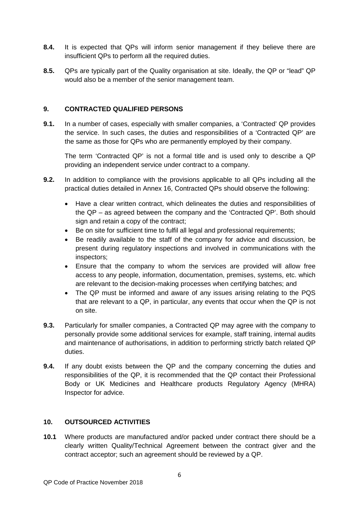- **8.4.** It is expected that QPs will inform senior management if they believe there are insufficient QPs to perform all the required duties.
- **8.5.** QPs are typically part of the Quality organisation at site. Ideally, the QP or "lead" QP would also be a member of the senior management team.

#### **9. CONTRACTED QUALIFIED PERSONS**

**9.1.** In a number of cases, especially with smaller companies, a 'Contracted' QP provides the service. In such cases, the duties and responsibilities of a 'Contracted QP' are the same as those for QPs who are permanently employed by their company.

The term 'Contracted QP' is not a formal title and is used only to describe a QP providing an independent service under contract to a company.

- **9.2.** In addition to compliance with the provisions applicable to all QPs including all the practical duties detailed in Annex 16, Contracted QPs should observe the following:
	- Have a clear written contract, which delineates the duties and responsibilities of the QP – as agreed between the company and the 'Contracted QP'. Both should sign and retain a copy of the contract;
	- Be on site for sufficient time to fulfil all legal and professional requirements;
	- Be readily available to the staff of the company for advice and discussion, be present during regulatory inspections and involved in communications with the inspectors;
	- Ensure that the company to whom the services are provided will allow free access to any people, information, documentation, premises, systems, etc. which are relevant to the decision-making processes when certifying batches; and
	- The QP must be informed and aware of any issues arising relating to the PQS that are relevant to a QP, in particular, any events that occur when the QP is not on site.
- **9.3.** Particularly for smaller companies, a Contracted QP may agree with the company to personally provide some additional services for example, staff training, internal audits and maintenance of authorisations, in addition to performing strictly batch related QP duties.
- **9.4.** If any doubt exists between the QP and the company concerning the duties and responsibilities of the QP, it is recommended that the QP contact their Professional Body or UK Medicines and Healthcare products Regulatory Agency (MHRA) Inspector for advice.

# **10. OUTSOURCED ACTIVITIES**

**10.1** Where products are manufactured and/or packed under contract there should be a clearly written Quality/Technical Agreement between the contract giver and the contract acceptor; such an agreement should be reviewed by a QP.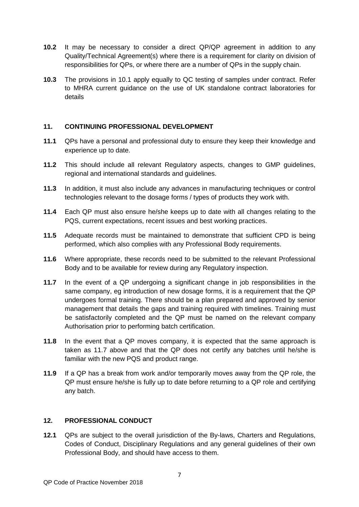- **10.2** It may be necessary to consider a direct QP/QP agreement in addition to any Quality/Technical Agreement(s) where there is a requirement for clarity on division of responsibilities for QPs, or where there are a number of QPs in the supply chain.
- **10.3** The provisions in 10.1 apply equally to QC testing of samples under contract. Refer to MHRA current guidance on the use of UK standalone contract laboratories for details

#### **11. CONTINUING PROFESSIONAL DEVELOPMENT**

- **11.1** QPs have a personal and professional duty to ensure they keep their knowledge and experience up to date.
- **11.2** This should include all relevant Regulatory aspects, changes to GMP guidelines, regional and international standards and guidelines.
- **11.3** In addition, it must also include any advances in manufacturing techniques or control technologies relevant to the dosage forms / types of products they work with.
- **11.4** Each QP must also ensure he/she keeps up to date with all changes relating to the PQS, current expectations, recent issues and best working practices.
- **11.5** Adequate records must be maintained to demonstrate that sufficient CPD is being performed, which also complies with any Professional Body requirements.
- **11.6** Where appropriate, these records need to be submitted to the relevant Professional Body and to be available for review during any Regulatory inspection.
- **11.7** In the event of a QP undergoing a significant change in job responsibilities in the same company, eg introduction of new dosage forms, it is a requirement that the QP undergoes formal training. There should be a plan prepared and approved by senior management that details the gaps and training required with timelines. Training must be satisfactorily completed and the QP must be named on the relevant company Authorisation prior to performing batch certification.
- **11.8** In the event that a QP moves company, it is expected that the same approach is taken as 11.7 above and that the QP does not certify any batches until he/she is familiar with the new PQS and product range.
- **11.9** If a QP has a break from work and/or temporarily moves away from the QP role, the QP must ensure he/she is fully up to date before returning to a QP role and certifying any batch.

#### **12. PROFESSIONAL CONDUCT**

**12.1** QPs are subject to the overall jurisdiction of the By-laws, Charters and Regulations, Codes of Conduct, Disciplinary Regulations and any general guidelines of their own Professional Body, and should have access to them.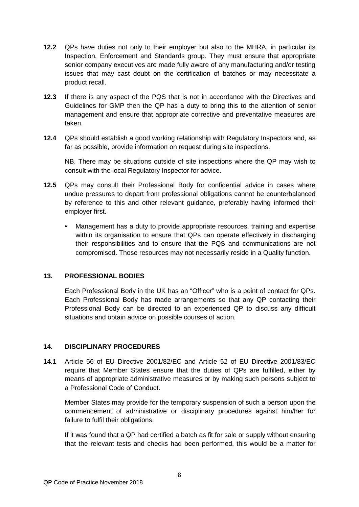- **12.2** QPs have duties not only to their employer but also to the MHRA, in particular its Inspection, Enforcement and Standards group. They must ensure that appropriate senior company executives are made fully aware of any manufacturing and/or testing issues that may cast doubt on the certification of batches or may necessitate a product recall.
- **12.3** If there is any aspect of the PQS that is not in accordance with the Directives and Guidelines for GMP then the QP has a duty to bring this to the attention of senior management and ensure that appropriate corrective and preventative measures are taken.
- **12.4** QPs should establish a good working relationship with Regulatory Inspectors and, as far as possible, provide information on request during site inspections.

NB. There may be situations outside of site inspections where the QP may wish to consult with the local Regulatory Inspector for advice.

- **12.5** QPs may consult their Professional Body for confidential advice in cases where undue pressures to depart from professional obligations cannot be counterbalanced by reference to this and other relevant guidance, preferably having informed their employer first.
	- Management has a duty to provide appropriate resources, training and expertise within its organisation to ensure that QPs can operate effectively in discharging their responsibilities and to ensure that the PQS and communications are not compromised. Those resources may not necessarily reside in a Quality function.

#### **13. PROFESSIONAL BODIES**

Each Professional Body in the UK has an "Officer" who is a point of contact for QPs. Each Professional Body has made arrangements so that any QP contacting their Professional Body can be directed to an experienced QP to discuss any difficult situations and obtain advice on possible courses of action.

#### **14. DISCIPLINARY PROCEDURES**

**14.1** Article 56 of EU Directive 2001/82/EC and Article 52 of EU Directive 2001/83/EC require that Member States ensure that the duties of QPs are fulfilled, either by means of appropriate administrative measures or by making such persons subject to a Professional Code of Conduct.

Member States may provide for the temporary suspension of such a person upon the commencement of administrative or disciplinary procedures against him/her for failure to fulfil their obligations.

If it was found that a QP had certified a batch as fit for sale or supply without ensuring that the relevant tests and checks had been performed, this would be a matter for